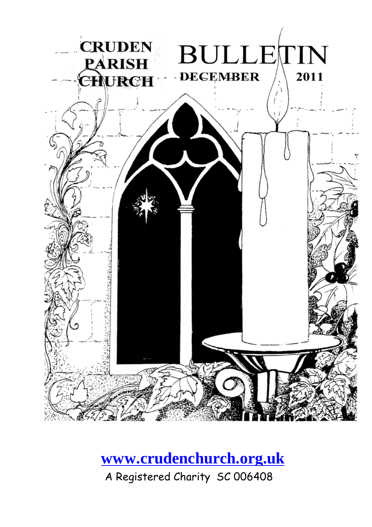

#### **[www.crudenchurch.org.uk](http://www.crudenchurch.org.uk/)**

A Registered Charity SC 006408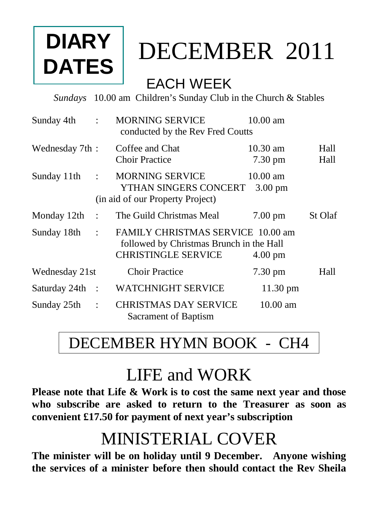## **DIARY DATES**

## DECEMBER2011

#### EACH WEEK

*Sundays* 10.00 am Children's Sunday Club in the Church & Stables

| Sunday 4th     | $\ddot{\cdot}$       | <b>MORNING SERVICE</b><br>conducted by the Rev Fred Coutts                                                  | 10.00 am                                |              |
|----------------|----------------------|-------------------------------------------------------------------------------------------------------------|-----------------------------------------|--------------|
| Wednesday 7th: |                      | Coffee and Chat<br><b>Choir Practice</b>                                                                    | $10.30 \text{ am}$<br>$7.30 \text{ pm}$ | Hall<br>Hall |
| Sunday 11th    | $\ddot{\cdot}$       | <b>MORNING SERVICE</b><br>YTHAN SINGERS CONCERT<br>(in aid of our Property Project)                         | $10.00 \text{ am}$<br>$3.00 \text{ pm}$ |              |
| Monday 12th    | $\bullet$            | The Guild Christmas Meal                                                                                    | $7.00 \text{ pm}$                       | St Olaf      |
| Sunday 18th    | $\ddot{\cdot}$       | FAMILY CHRISTMAS SERVICE 10.00 am<br>followed by Christmas Brunch in the Hall<br><b>CHRISTINGLE SERVICE</b> | $4.00 \text{ pm}$                       |              |
| Wednesday 21st |                      | <b>Choir Practice</b>                                                                                       | $7.30 \text{ pm}$                       | Hall         |
| Saturday 24th  | $\ddot{\phantom{1}}$ | <b>WATCHNIGHT SERVICE</b>                                                                                   | $11.30 \text{ pm}$                      |              |
| Sunday 25th    | $\ddot{\cdot}$       | <b>CHRISTMAS DAY SERVICE</b><br>Sacrament of Baptism                                                        | $10.00$ am                              |              |

#### DECEMBER HYMN BOOK - CH4

#### LIFE and WORK

**Please note that Life & Work is to cost the same next year and those who subscribe are asked to return to the Treasurer as soon as convenient £17.50 for payment of next year's subscription**

#### MINISTERIAL COVER

**The minister will be on holiday until 9 December. Anyone wishing the services of a minister before then should contact the Rev Sheila**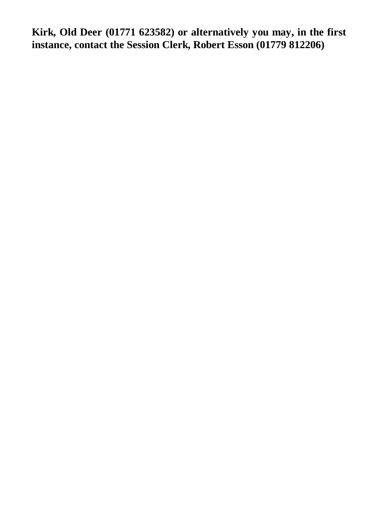**Kirk, Old Deer (01771 623582) or alternatively you may, in the first instance, contact the Session Clerk, Robert Esson (01779 812206)**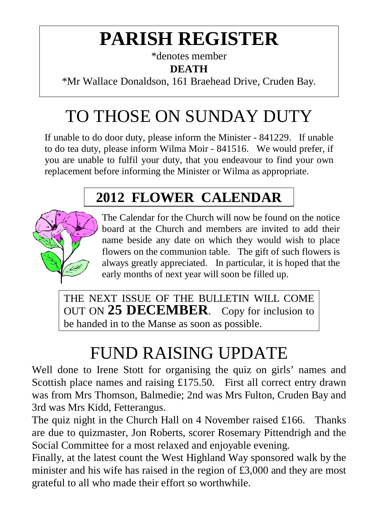## **PARISH REGISTER**

\*denotes member

**DEATH**

\*Mr Wallace Donaldson, 161 Braehead Drive, Cruden Bay.

## TO THOSE ON SUNDAY DUTY

If unable to do door duty, please inform the Minister - 841229. If unable to do tea duty, please inform Wilma Moir - 841516. We would prefer, if you are unable to fulfil your duty, that you endeavour to find your own replacement before informing the Minister or Wilma as appropriate.

#### **2012 FLOWER CALENDAR**



The Calendar for the Church will now be found on the notice board at the Church and members are invited to add their name beside any date on which they would wish to place flowers on the communion table. The gift of such flowers is always greatly appreciated. In particular, it is hoped that the early months of next year will soon be filled up.

THE NEXT ISSUE OF THE BULLETIN WILL COME OUT ON **25 DECEMBER**. Copy for inclusion to be handed in to the Manse as soon as possible.

## FUND RAISING UPDATE

Well done to Irene Stott for organising the quiz on girls' names and Scottish place names and raising £175.50. First all correct entry drawn was from Mrs Thomson, Balmedie; 2nd was Mrs Fulton, Cruden Bay and 3rd was Mrs Kidd, Fetterangus.

The quiz night in the Church Hall on 4 November raised £166. Thanks are due to quizmaster, Jon Roberts, scorer Rosemary Pittendrigh and the Social Committee for a most relaxed and enjoyable evening.

Finally, at the latest count the West Highland Way sponsored walk by the minister and his wife has raised in the region of £3,000 and they are most grateful to all who made their effort so worthwhile.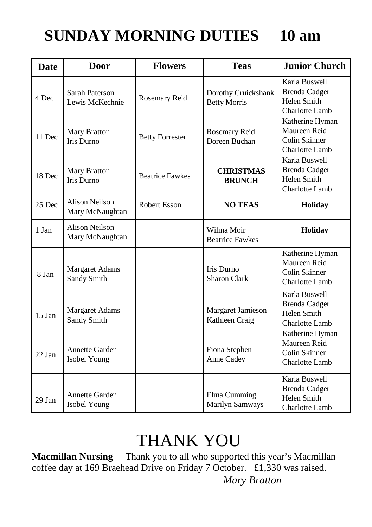#### **SUNDAY MORNING DUTIES 10 am**

| <b>Date</b> | <b>Door</b>                                 | <b>Flowers</b>         | <b>Teas</b>                                | <b>Junior Church</b>                                                      |
|-------------|---------------------------------------------|------------------------|--------------------------------------------|---------------------------------------------------------------------------|
| 4 Dec       | <b>Sarah Paterson</b><br>Lewis McKechnie    | Rosemary Reid          | Dorothy Cruickshank<br><b>Betty Morris</b> | Karla Buswell<br><b>Brenda Cadger</b><br>Helen Smith<br>Charlotte Lamb    |
| 11 Dec      | Mary Bratton<br><b>Iris Durno</b>           | <b>Betty Forrester</b> | Rosemary Reid<br>Doreen Buchan             | Katherine Hyman<br>Maureen Reid<br>Colin Skinner<br>Charlotte Lamb        |
| 18 Dec      | <b>Mary Bratton</b><br><b>Iris Durno</b>    | <b>Beatrice Fawkes</b> | <b>CHRISTMAS</b><br><b>BRUNCH</b>          | Karla Buswell<br><b>Brenda Cadger</b><br>Helen Smith<br>Charlotte Lamb    |
| 25 Dec      | <b>Alison Neilson</b><br>Mary McNaughtan    | <b>Robert Esson</b>    | <b>NO TEAS</b>                             | Holiday                                                                   |
| 1 Jan       | <b>Alison Neilson</b><br>Mary McNaughtan    |                        | Wilma Moir<br><b>Beatrice Fawkes</b>       | Holiday                                                                   |
| 8 Jan       | <b>Margaret Adams</b><br><b>Sandy Smith</b> |                        | Iris Durno<br><b>Sharon Clark</b>          | Katherine Hyman<br>Maureen Reid<br>Colin Skinner<br>Charlotte Lamb        |
| $15$ Jan    | <b>Margaret Adams</b><br><b>Sandy Smith</b> |                        | Margaret Jamieson<br>Kathleen Craig        | Karla Buswell<br><b>Brenda Cadger</b><br>Helen Smith<br>Charlotte Lamb    |
| $22$ Jan    | Annette Garden<br>Isobel Young              |                        | Fiona Stephen<br>Anne Cadey                | Katherine Hyman<br>Maureen Reid<br>Colin Skinner<br><b>Charlotte Lamb</b> |
| 29 Jan      | <b>Annette Garden</b><br>Isobel Young       |                        | Elma Cumming<br><b>Marilyn Samways</b>     | Karla Buswell<br><b>Brenda Cadger</b><br>Helen Smith<br>Charlotte Lamb    |

### THANK YOU

**Macmillan Nursing** Thank you to all who supported this year's Macmillan coffee day at 169 Braehead Drive on Friday 7 October. £1,330 was raised. *Mary Bratton*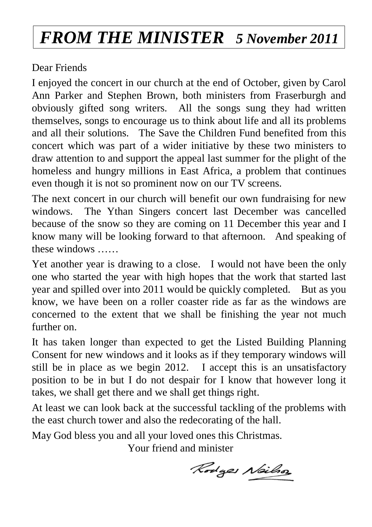#### *FROM THE MINISTER 5 November 2011*

Dear Friends

I enjoyed the concert in our church at the end of October, given by Carol Ann Parker and Stephen Brown, both ministers from Fraserburgh and obviously gifted song writers. All the songs sung they had written themselves, songs to encourage us to think about life and all its problems and all their solutions. The Save the Children Fund benefited from this concert which was part of a wider initiative by these two ministers to draw attention to and support the appeal last summer for the plight of the homeless and hungry millions in East Africa, a problem that continues even though it is not so prominent now on our TV screens.

The next concert in our church will benefit our own fundraising for new windows. The Ythan Singers concert last December was cancelled because of the snow so they are coming on 11 December this year and I know many will be looking forward to that afternoon. And speaking of these windows ……

Yet another year is drawing to a close. I would not have been the only one who started the year with high hopes that the work that started last year and spilled over into 2011 would be quickly completed. But as you know, we have been on a roller coaster ride as far as the windows are concerned to the extent that we shall be finishing the year not much further on.

It has taken longer than expected to get the Listed Building Planning Consent for new windows and it looks as if they temporary windows will still be in place as we begin 2012. I accept this is an unsatisfactory position to be in but I do not despair for I know that however long it takes, we shall get there and we shall get things right.

At least we can look back at the successful tackling of the problems with the east church tower and also the redecorating of the hall.

May God bless you and all your loved ones this Christmas.

Your friend and minister

Rodges Neilso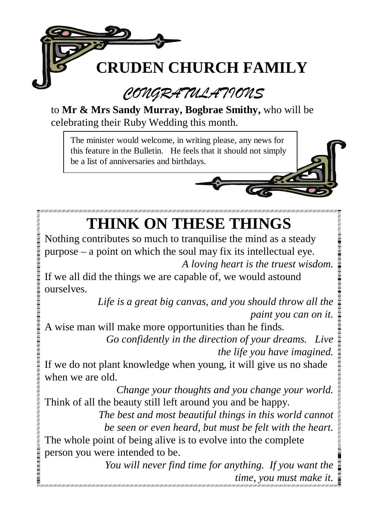

to **Mr & Mrs Sandy Murray, Bogbrae Smithy,** who will be celebrating their Ruby Wedding this month.

The minister would welcome, in writing please, any news for this feature in the Bulletin. He feels that it should not simply be a list of anniversaries and birthdays.

## **THINK ON THESE THINGS**

Nothing contributes so much to tranquilise the mind as a steady purpose – a point on which the soul may fix its intellectual eye. *A loving heart is the truest wisdom.*

If we all did the things we are capable of, we would astound ourselves.

> *Life is a great big canvas, and you should throw all the paint you can on it.*

A wise man will make more opportunities than he finds.

**UNIVERSITY** 

 *Go confidently in the direction of your dreams. Live the life you have imagined.*

If we do not plant knowledge when young, it will give us no shade when we are old.

*Change your thoughts and you change your world.* Think of all the beauty still left around you and be happy.

 *The best and most beautiful things in this world cannot be seen or even heard, but must be felt with the heart.* The whole point of being alive is to evolve into the complete person you were intended to be.

> *You will never find time for anything. If you want the time, you must make it.*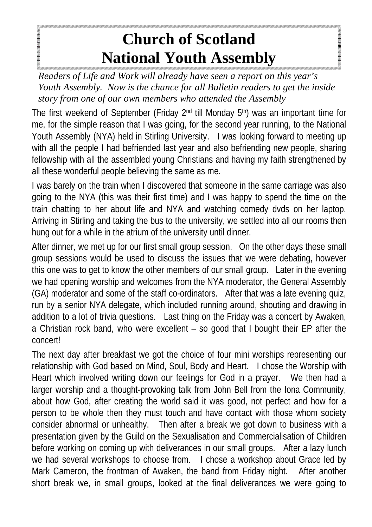#### **Church of Scotland National Youth Assembly**

**SCANDING MICHIGAN CONTRACTOR** 

**SPARASHORNES** *Readers of Life and Work will already have seen a report on this year's Youth Assembly. Now is the chance for all Bulletin readers to get the inside story from one of our own members who attended the Assembly*

The first weekend of September (Friday  $2<sup>nd</sup>$  till Monday  $5<sup>th</sup>$ ) was an important time for me, for the simple reason that I was going, for the second year running, to the National Youth Assembly (NYA) held in Stirling University. I was looking forward to meeting up with all the people I had befriended last year and also befriending new people, sharing fellowship with all the assembled young Christians and having my faith strengthened by all these wonderful people believing the same as me.

I was barely on the train when I discovered that someone in the same carriage was also going to the NYA (this was their first time) and I was happy to spend the time on the train chatting to her about life and NYA and watching comedy dvds on her laptop. Arriving in Stirling and taking the bus to the university, we settled into all our rooms then hung out for a while in the atrium of the university until dinner.

After dinner, we met up for our first small group session. On the other days these small group sessions would be used to discuss the issues that we were debating, however this one was to get to know the other members of our small group. Later in the evening we had opening worship and welcomes from the NYA moderator, the General Assembly (GA) moderator and some of the staff co-ordinators. After that was a late evening quiz, run by a senior NYA delegate, which included running around, shouting and drawing in addition to a lot of trivia questions. Last thing on the Friday was a concert by Awaken, a Christian rock band, who were excellent – so good that I bought their EP after the concert!

The next day after breakfast we got the choice of four mini worships representing our relationship with God based on Mind, Soul, Body and Heart. I chose the Worship with Heart which involved writing down our feelings for God in a prayer. We then had a larger worship and a thought-provoking talk from John Bell from the Iona Community, about how God, after creating the world said it was good, not perfect and how for a person to be whole then they must touch and have contact with those whom society consider abnormal or unhealthy. Then after a break we got down to business with a presentation given by the Guild on the Sexualisation and Commercialisation of Children before working on coming up with deliverances in our small groups. After a lazy lunch we had several workshops to choose from. I chose a workshop about Grace led by Mark Cameron, the frontman of Awaken, the band from Friday night. After another short break we, in small groups, looked at the final deliverances we were going to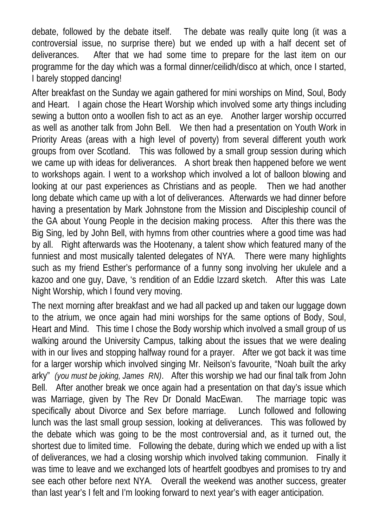debate, followed by the debate itself. The debate was really quite long (it was a controversial issue, no surprise there) but we ended up with a half decent set of deliverances. After that we had some time to prepare for the last item on our programme for the day which was a formal dinner/ceilidh/disco at which, once I started, I barely stopped dancing!

After breakfast on the Sunday we again gathered for mini worships on Mind, Soul, Body and Heart. I again chose the Heart Worship which involved some arty things including sewing a button onto a woollen fish to act as an eye. Another larger worship occurred as well as another talk from John Bell. We then had a presentation on Youth Work in Priority Areas (areas with a high level of poverty) from several different youth work groups from over Scotland. This was followed by a small group session during which we came up with ideas for deliverances. A short break then happened before we went to workshops again. I went to a workshop which involved a lot of balloon blowing and looking at our past experiences as Christians and as people. Then we had another long debate which came up with a lot of deliverances. Afterwards we had dinner before having a presentation by Mark Johnstone from the Mission and Discipleship council of the GA about Young People in the decision making process. After this there was the Big Sing, led by John Bell, with hymns from other countries where a good time was had by all. Right afterwards was the Hootenany, a talent show which featured many of the funniest and most musically talented delegates of NYA. There were many highlights such as my friend Esther's performance of a funny song involving her ukulele and a kazoo and one guy, Dave, 's rendition of an Eddie Izzard sketch. After this was Late Night Worship, which I found very moving.

The next morning after breakfast and we had all packed up and taken our luggage down to the atrium, we once again had mini worships for the same options of Body, Soul, Heart and Mind. This time I chose the Body worship which involved a small group of us walking around the University Campus, talking about the issues that we were dealing with in our lives and stopping halfway round for a prayer. After we got back it was time for a larger worship which involved singing Mr. Neilson's favourite, "Noah built the arky arky" *(you must be joking, James RN)*. After this worship we had our final talk from John Bell. After another break we once again had a presentation on that day's issue which was Marriage, given by The Rev Dr Donald MacEwan. The marriage topic was specifically about Divorce and Sex before marriage. Lunch followed and following lunch was the last small group session, looking at deliverances. This was followed by the debate which was going to be the most controversial and, as it turned out, the shortest due to limited time. Following the debate, during which we ended up with a list of deliverances, we had a closing worship which involved taking communion. Finally it was time to leave and we exchanged lots of heartfelt goodbyes and promises to try and see each other before next NYA. Overall the weekend was another success, greater than last year's I felt and I'm looking forward to next year's with eager anticipation.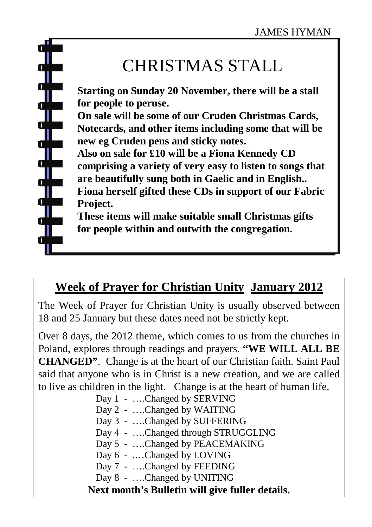#### CHRISTMAS STALL

**Starting on Sunday 20 November, there will be a stall for people to peruse. On sale will be some of our Cruden Christmas Cards, Notecards, and other items including some that will be new eg Cruden pens and sticky notes. Also on sale for £10 will be a Fiona Kennedy CD comprising a variety of very easy to listen to songs that are beautifully sung both in Gaelic and in English.. Fiona herself gifted these CDs in support of our Fabric Project. These items will make suitable small Christmas gifts for people within and outwith the congregation.**

#### **Week of Prayer for Christian Unity January 2012**

The Week of Prayer for Christian Unity is usually observed between 18 and 25 January but these dates need not be strictly kept.

Over 8 days, the 2012 theme, which comes to us from the churches in Poland, explores through readings and prayers. **"WE WILL ALL BE CHANGED"**. Change is at the heart of our Christian faith. Saint Paul said that anyone who is in Christ is a new creation, and we are called to live as children in the light. Change is at the heart of human life.

| Next month's Bulletin will give fuller details. |
|-------------------------------------------------|
| Day 8 - Changed by UNITING                      |
| Day 7 - Changed by FEEDING                      |
| Day 6 - Changed by LOVING                       |
| Day 5 - Changed by PEACEMAKING                  |
| Day 4 - Changed through STRUGGLING              |
| Day 3 - Changed by SUFFERING                    |
| Day 2 - Changed by WAITING                      |
| Day 1 - Changed by SERVING                      |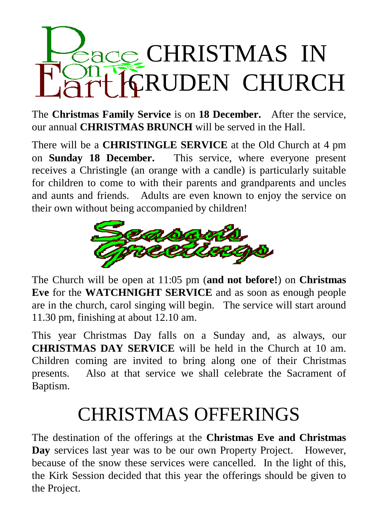# CHRISTMAS IN **CRUDEN CHURCH**

The **Christmas Family Service** is on **18 December.** After the service, our annual **CHRISTMAS BRUNCH** will be served in the Hall.

There will be a **CHRISTINGLE SERVICE** at the Old Church at 4 pm on **Sunday 18 December.** This service, where everyone present receives a Christingle (an orange with a candle) is particularly suitable for children to come to with their parents and grandparents and uncles and aunts and friends. Adults are even known to enjoy the service on their own without being accompanied by children!



The Church will be open at 11:05 pm (**and not before!**) on **Christmas Eve** for the **WATCHNIGHT SERVICE** and as soon as enough people are in the church, carol singing will begin. The service will start around 11.30 pm, finishing at about 12.10 am.

This year Christmas Day falls on a Sunday and, as always, our **CHRISTMAS DAY SERVICE** will be held in the Church at 10 am. Children coming are invited to bring along one of their Christmas presents. Also at that service we shall celebrate the Sacrament of Baptism.

## CHRISTMAS OFFERINGS

The destination of the offerings at the **Christmas Eve and Christmas Day** services last year was to be our own Property Project. However, because of the snow these services were cancelled. In the light of this, the Kirk Session decided that this year the offerings should be given to the Project.